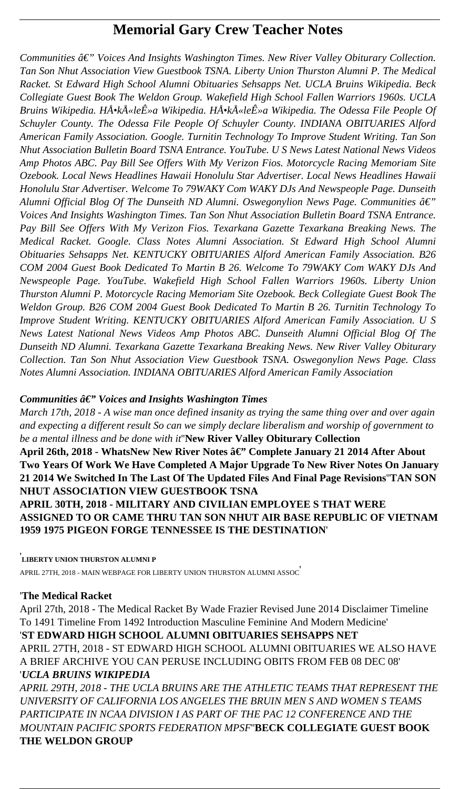# **Memorial Gary Crew Teacher Notes**

Communities â€" Voices And Insights Washington Times. New River Valley Obiturary Collection. *Tan Son Nhut Association View Guestbook TSNA. Liberty Union Thurston Alumni P. The Medical Racket. St Edward High School Alumni Obituaries Sehsapps Net. UCLA Bruins Wikipedia. Beck Collegiate Guest Book The Weldon Group. Wakefield High School Fallen Warriors 1960s. UCLA Bruins Wikipedia. Hŕkūleʻa Wikipedia. Hŕkūleʻa Wikipedia. The Odessa File People Of Schuyler County. The Odessa File People Of Schuyler County. INDIANA OBITUARIES Alford American Family Association. Google. Turnitin Technology To Improve Student Writing. Tan Son Nhut Association Bulletin Board TSNA Entrance. YouTube. U S News Latest National News Videos Amp Photos ABC. Pay Bill See Offers With My Verizon Fios. Motorcycle Racing Memoriam Site Ozebook. Local News Headlines Hawaii Honolulu Star Advertiser. Local News Headlines Hawaii Honolulu Star Advertiser. Welcome To 79WAKY Com WAKY DJs And Newspeople Page. Dunseith Alumni Official Blog Of The Dunseith ND Alumni. Oswegonylion News Page. Communities*  $\hat{a} \in \mathcal{C}$ *Voices And Insights Washington Times. Tan Son Nhut Association Bulletin Board TSNA Entrance. Pay Bill See Offers With My Verizon Fios. Texarkana Gazette Texarkana Breaking News. The Medical Racket. Google. Class Notes Alumni Association. St Edward High School Alumni Obituaries Sehsapps Net. KENTUCKY OBITUARIES Alford American Family Association. B26 COM 2004 Guest Book Dedicated To Martin B 26. Welcome To 79WAKY Com WAKY DJs And Newspeople Page. YouTube. Wakefield High School Fallen Warriors 1960s. Liberty Union Thurston Alumni P. Motorcycle Racing Memoriam Site Ozebook. Beck Collegiate Guest Book The Weldon Group. B26 COM 2004 Guest Book Dedicated To Martin B 26. Turnitin Technology To Improve Student Writing. KENTUCKY OBITUARIES Alford American Family Association. U S News Latest National News Videos Amp Photos ABC. Dunseith Alumni Official Blog Of The Dunseith ND Alumni. Texarkana Gazette Texarkana Breaking News. New River Valley Obiturary Collection. Tan Son Nhut Association View Guestbook TSNA. Oswegonylion News Page. Class Notes Alumni Association. INDIANA OBITUARIES Alford American Family Association*

## *Communities*  $\hat{a} \in \mathcal{C}$  *Voices and Insights Washington Times*

*March 17th, 2018 - A wise man once defined insanity as trying the same thing over and over again and expecting a different result So can we simply declare liberalism and worship of government to be a mental illness and be done with it*''**New River Valley Obiturary Collection** April 26th, 2018 - WhatsNew New River Notes â€" Complete January 21 2014 After About **Two Years Of Work We Have Completed A Major Upgrade To New River Notes On January 21 2014 We Switched In The Last Of The Updated Files And Final Page Revisions**''**TAN SON NHUT ASSOCIATION VIEW GUESTBOOK TSNA APRIL 30TH, 2018 - MILITARY AND CIVILIAN EMPLOYEE S THAT WERE ASSIGNED TO OR CAME THRU TAN SON NHUT AIR BASE REPUBLIC OF VIETNAM 1959 1975 PIGEON FORGE TENNESSEE IS THE DESTINATION**'

#### '**LIBERTY UNION THURSTON ALUMNI P**

APRIL 27TH, 2018 - MAIN WEBPAGE FOR LIBERTY UNION THURSTON ALUMNI ASSOC'

## '**The Medical Racket**

April 27th, 2018 - The Medical Racket By Wade Frazier Revised June 2014 Disclaimer Timeline To 1491 Timeline From 1492 Introduction Masculine Feminine And Modern Medicine'

## '**ST EDWARD HIGH SCHOOL ALUMNI OBITUARIES SEHSAPPS NET** APRIL 27TH, 2018 - ST EDWARD HIGH SCHOOL ALUMNI OBITUARIES WE ALSO HAVE A BRIEF ARCHIVE YOU CAN PERUSE INCLUDING OBITS FROM FEB 08 DEC 08' '*UCLA BRUINS WIKIPEDIA*

*APRIL 29TH, 2018 - THE UCLA BRUINS ARE THE ATHLETIC TEAMS THAT REPRESENT THE UNIVERSITY OF CALIFORNIA LOS ANGELES THE BRUIN MEN S AND WOMEN S TEAMS PARTICIPATE IN NCAA DIVISION I AS PART OF THE PAC 12 CONFERENCE AND THE MOUNTAIN PACIFIC SPORTS FEDERATION MPSF*''**BECK COLLEGIATE GUEST BOOK THE WELDON GROUP**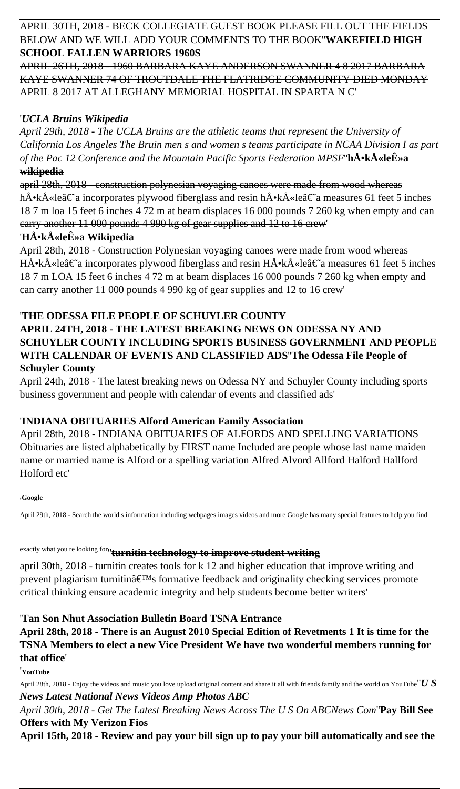## APRIL 30TH, 2018 - BECK COLLEGIATE GUEST BOOK PLEASE FILL OUT THE FIELDS BELOW AND WE WILL ADD YOUR COMMENTS TO THE BOOK''**WAKEFIELD HIGH SCHOOL FALLEN WARRIORS 1960S**

APRIL 26TH, 2018 - 1960 BARBARA KAYE ANDERSON SWANNER 4 8 2017 BARBARA KAYE SWANNER 74 OF TROUTDALE THE FLATRIDGE COMMUNITY DIED MONDAY APRIL 8 2017 AT ALLEGHANY MEMORIAL HOSPITAL IN SPARTA N C'

## '*UCLA Bruins Wikipedia*

*April 29th, 2018 - The UCLA Bruins are the athletic teams that represent the University of California Los Angeles The Bruin men s and women s teams participate in NCAA Division I as part of the Pac 12 Conference and the Mountain Pacific Sports Federation MPSF*" $h\AA$ <sup>-</sup> $k\AA$ <sup>\*</sup> **wikipedia**

april 28th, 2018 - construction polynesian voyaging canoes were made from wood whereas hŕkÅ«le†a incorporates plywood fiberglass and resin hÅ•kÅ«le†a measures 61 feet 5 inches 18 7 m loa 15 feet 6 inches 4 72 m at beam displaces 16 000 pounds 7 260 kg when empty and can carry another 11 000 pounds 4 990 kg of gear supplies and 12 to 16 crew'

## 'HŕkÅ«leÊ»a Wikipedia

April 28th, 2018 - Construction Polynesian voyaging canoes were made from wood whereas HŕkÅ«le†a incorporates plywood fiberglass and resin HÅ•kÅ«le†a measures 61 feet 5 inches 18 7 m LOA 15 feet 6 inches 4 72 m at beam displaces 16 000 pounds 7 260 kg when empty and can carry another 11 000 pounds 4 990 kg of gear supplies and 12 to 16 crew'

## '**THE ODESSA FILE PEOPLE OF SCHUYLER COUNTY**

## **APRIL 24TH, 2018 - THE LATEST BREAKING NEWS ON ODESSA NY AND SCHUYLER COUNTY INCLUDING SPORTS BUSINESS GOVERNMENT AND PEOPLE WITH CALENDAR OF EVENTS AND CLASSIFIED ADS**''**The Odessa File People of Schuyler County**

April 24th, 2018 - The latest breaking news on Odessa NY and Schuyler County including sports business government and people with calendar of events and classified ads'

## '**INDIANA OBITUARIES Alford American Family Association**

April 28th, 2018 - INDIANA OBITUARIES OF ALFORDS AND SPELLING VARIATIONS Obituaries are listed alphabetically by FIRST name Included are people whose last name maiden name or married name is Alford or a spelling variation Alfred Alvord Allford Halford Hallford Holford etc'

#### '**Google**

April 29th, 2018 - Search the world s information including webpages images videos and more Google has many special features to help you find

# exactly what you re looking for''**turnitin technology to improve student writing**

april 30th, 2018 - turnitin creates tools for k 12 and higher education that improve writing and prevent plagiarism turnitin $\hat{a} \in T^M s$  formative feedback and originality checking services promote critical thinking ensure academic integrity and help students become better writers'

## '**Tan Son Nhut Association Bulletin Board TSNA Entrance**

#### **April 28th, 2018 - There is an August 2010 Special Edition of Revetments 1 It is time for the TSNA Members to elect a new Vice President We have two wonderful members running for that office**'

'**YouTube**

April 28th, 2018 - Enjoy the videos and music you love upload original content and share it all with friends family and the world on YouTube''*U S News Latest National News Videos Amp Photos ABC April 30th, 2018 - Get The Latest Breaking News Across The U S On ABCNews Com*''**Pay Bill See Offers with My Verizon Fios April 15th, 2018 - Review and pay your bill sign up to pay your bill automatically and see the**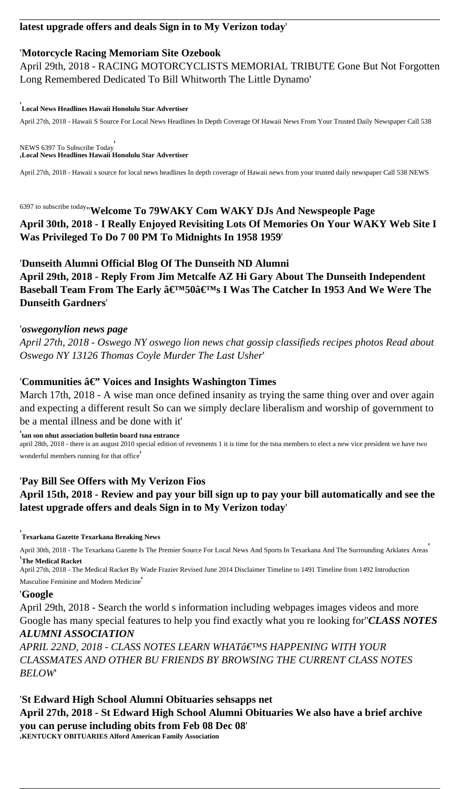## **latest upgrade offers and deals Sign in to My Verizon today**'

#### '**Motorcycle Racing Memoriam Site Ozebook**

April 29th, 2018 - RACING MOTORCYCLISTS MEMORIAL TRIBUTE Gone But Not Forgotten Long Remembered Dedicated To Bill Whitworth The Little Dynamo'

#### '**Local News Headlines Hawaii Honolulu Star Advertiser**

April 27th, 2018 - Hawaii S Source For Local News Headlines In Depth Coverage Of Hawaii News From Your Trusted Daily Newspaper Call 538

NEWS 6397 To Subscribe Today' '**Local News Headlines Hawaii Honolulu Star Advertiser**

April 27th, 2018 - Hawaii s source for local news headlines In depth coverage of Hawaii news from your trusted daily newspaper Call 538 NEWS

6397 to subscribe today''**Welcome To 79WAKY Com WAKY DJs And Newspeople Page April 30th, 2018 - I Really Enjoyed Revisiting Lots Of Memories On Your WAKY Web Site I Was Privileged To Do 7 00 PM To Midnights In 1958 1959**'

March 17th, 2018 - A wise man once defined insanity as trying the same thing over and over again and expecting a different result So can we simply declare liberalism and worship of government to be a mental illness and be done with it'

#### '**Dunseith Alumni Official Blog Of The Dunseith ND Alumni**

**April 29th, 2018 - Reply From Jim Metcalfe AZ Hi Gary About The Dunseith Independent** Baseball Team From The Early â€<sup>™50</sup>â€<sup>™</sup>s I Was The Catcher In 1953 And We Were The **Dunseith Gardners**'

#### '*oswegonylion news page*

*April 27th, 2018 - Oswego NY oswego lion news chat gossip classifieds recipes photos Read about Oswego NY 13126 Thomas Coyle Murder The Last Usher*'

### 'Communities â€'' Voices and Insights Washington Times

'**tan son nhut association bulletin board tsna entrance** april 28th, 2018 - there is an august 2010 special edition of revetments 1 it is time for the tsna members to elect a new vice president we have two wonderful members running for that office'

## '**Pay Bill See Offers with My Verizon Fios**

## **April 15th, 2018 - Review and pay your bill sign up to pay your bill automatically and see the latest upgrade offers and deals Sign in to My Verizon today**'

'**Texarkana Gazette Texarkana Breaking News**

April 30th, 2018 - The Texarkana Gazette Is The Premier Source For Local News And Sports In Texarkana And The Surrounding Arklatex Areas' '**The Medical Racket**

April 27th, 2018 - The Medical Racket By Wade Frazier Revised June 2014 Disclaimer Timeline to 1491 Timeline from 1492 Introduction

#### Masculine Feminine and Modern Medicine'

#### '**Google**

April 29th, 2018 - Search the world s information including webpages images videos and more Google has many special features to help you find exactly what you re looking for''*CLASS NOTES*

#### *ALUMNI ASSOCIATION*

*APRIL 22ND, 2018 - CLASS NOTES LEARN WHAT'S HAPPENING WITH YOUR CLASSMATES AND OTHER BU FRIENDS BY BROWSING THE CURRENT CLASS NOTES BELOW*'

'**St Edward High School Alumni Obituaries sehsapps net April 27th, 2018 - St Edward High School Alumni Obituaries We also have a brief archive you can peruse including obits from Feb 08 Dec 08**' '**KENTUCKY OBITUARIES Alford American Family Association**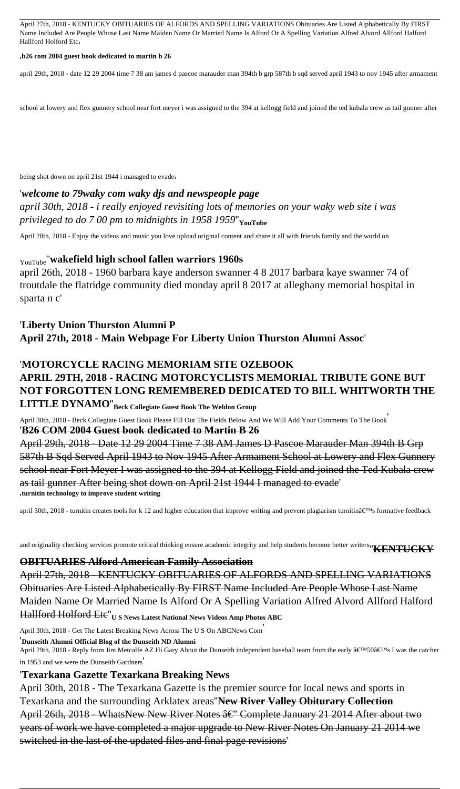April 27th, 2018 - KENTUCKY OBITUARIES OF ALFORDS AND SPELLING VARIATIONS Obituaries Are Listed Alphabetically By FIRST Name Included Are People Whose Last Name Maiden Name Or Married Name Is Alford Or A Spelling Variation Alfred Alvord Allford Halford Hallford Holford Etc,

#### '**b26 com 2004 guest book dedicated to martin b 26**

april 29th, 2018 - date 12 29 2004 time 7 38 am james d pascoe marauder man 394th b grp 587th b sqd served april 1943 to nov 1945 after armament

school at lowery and flex gunnery school near fort meyer i was assigned to the 394 at kellogg field and joined the ted kubala crew as tail gunner after

being shot down on april 21st 1944 i managed to evade'

#### '*welcome to 79waky com waky djs and newspeople page*

*april 30th, 2018 - i really enjoyed revisiting lots of memories on your waky web site i was privileged to do 7 00 pm to midnights in 1958 1959*''**YouTube**

April 28th, 2018 - Enjoy the videos and music you love upload original content and share it all with friends family and the world on

#### YouTube''**wakefield high school fallen warriors 1960s**

april 26th, 2018 - 1960 barbara kaye anderson swanner 4 8 2017 barbara kaye swanner 74 of troutdale the flatridge community died monday april 8 2017 at alleghany memorial hospital in sparta n c'

## '**Liberty Union Thurston Alumni P April 27th, 2018 - Main Webpage For Liberty Union Thurston Alumni Assoc**'

# '**MOTORCYCLE RACING MEMORIAM SITE OZEBOOK APRIL 29TH, 2018 - RACING MOTORCYCLISTS MEMORIAL TRIBUTE GONE BUT NOT FORGOTTEN LONG REMEMBERED DEDICATED TO BILL WHITWORTH THE**

**LITTLE DYNAMO**''**Beck Collegiate Guest Book The Weldon Group**

April 30th, 2018 - Beck Collegiate Guest Book Please Fill Out The Fields Below And We Will Add Your Comments To The Book' '**B26 COM 2004 Guest book dedicated to Martin B 26**

April 29th, 2018 - Date 12 29 2004 Time 7 38 AM James D Pascoe Marauder Man 394th B Grp 587th B Sqd Served April 1943 to Nov 1945 After Armament School at Lowery and Flex Gunnery school near Fort Meyer I was assigned to the 394 at Kellogg Field and joined the Ted Kubala crew as tail gunner After being shot down on April 21st 1944 I managed to evade' '**turnitin technology to improve student writing**

april 30th, 2018 - turnitin creates tools for k 12 and higher education that improve writing and prevent plagiarism turnitin's formative feedback

and originality checking services promote critical thinking ensure academic integrity and help students become better writers''**KENTUCKY**

#### **OBITUARIES Alford American Family Association**

April 27th, 2018 - KENTUCKY OBITUARIES OF ALFORDS AND SPELLING VARIATIONS Obituaries Are Listed Alphabetically By FIRST Name Included Are People Whose Last Name Maiden Name Or Married Name Is Alford Or A Spelling Variation Alfred Alvord Allford Halford Hallford Holford Etc''**U S News Latest National News Videos Amp Photos ABC**

April 30th, 2018 - Get The Latest Breaking News Across The U S On ABCNews Com'

#### '**Dunseith Alumni Official Blog of the Dunseith ND Alumni**

April 29th, 2018 - Reply from Jim Metcalfe AZ Hi Gary About the Dunseith independent baseball team from the early '50's I was the catcher

in 1953 and we were the Dunseith Gardners'

#### '**Texarkana Gazette Texarkana Breaking News**

April 30th, 2018 - The Texarkana Gazette is the premier source for local news and sports in Texarkana and the surrounding Arklatex areas''**New River Valley Obiturary Collection** April 26th, 2018 - WhatsNew New River Notes â€" Complete January 21 2014 After about two years of work we have completed a major upgrade to New River Notes On January 21 2014 we switched in the last of the updated files and final page revisions'